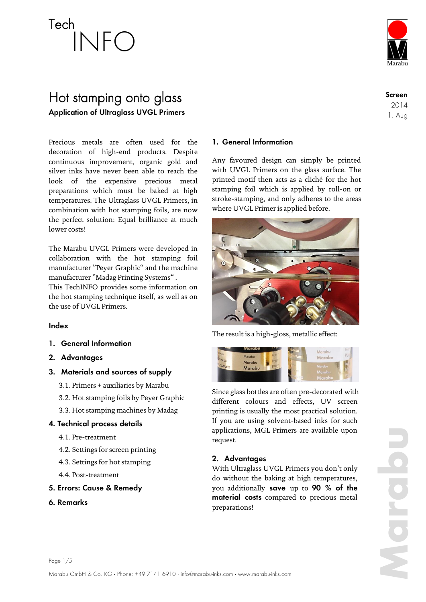

### Hot stamping onto glass **Application of Ultraglass UVGL Primers**

Precious metals are often used for the<br>decoration of bigh-end products. Despite decoration of high-end products. Despite continuous improvement, organic gold and silver inks have never been able to reach the silver liks have never been able to reach the<br>look of the expensive precious metal preparations which must be baked at high temperatures. The Ultraglass UVGL Primers, in combination with hot stamping foils, are now the perfect solution: Equal brilliance at much lower costs!

The Marabu UVGL Primers were developed in collaboration with the hot stamping foil manufacturer "Peyer Graphic" and the machine manufacturer "Madag Printing Systems" .

This TechINFO provides some information on the hot stamping technique itself, as well as on the use of UVGL Primers.

#### **Index**

- **1. General Information**
- **2. Advantages**
- **3. Materials and sources of supply**
	- 3.1. Primers + auxiliaries by Marabu
	- 3.2. Hot stamping foils by Peyer Graphic
	- 3.3. Hot stamping machines by Madag

#### **4. Technical process details**

- 4.1. Pre-treatment
- 4.2. Settings for screen printing
- 4.3. Settings for hot stamping
- 4.4. Post-treatment
- **5. Errors: Cause & Remedy**
- **6. Remarks**

#### **1. General Information**

Any favoured design can simply be printed with UVGL Primers on the glass surface. The printed motif then acts as a cliché for the hot stamping foil which is applied by roll-on or stroke-stamping, and only adheres to the areas where UVGL Primer is applied before.



The result is a high-gloss, metallic effect:



Since glass bottles are often pre-decorated with different colours and effects, UV screen printing is usually the most practical solution. If you are using solvent-based inks for such applications, MGL Primers are available upon request.

### **2. Advantages**

With Ultraglass UVGL Primers you don't only do without the baking at high temperatures, you additionally **save** up to **90 % of the material costs** compared to precious metal preparations!

**Screen** 2014 1. Aug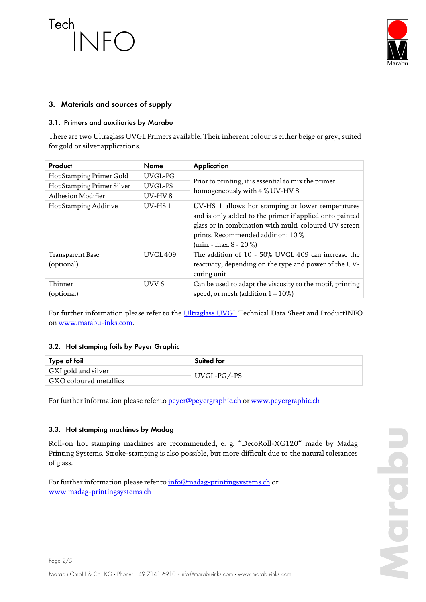

### **3. Materials and sources of supply**

#### **3.1. Primers and auxiliaries by Marabu**

There are two Ultraglass UVGL Primers available. Their inherent colour is either beige or grey, suited for gold or silver applications.

| Product                        | <b>Name</b>      | <b>Application</b>                                                                                                                                                                                                                     |
|--------------------------------|------------------|----------------------------------------------------------------------------------------------------------------------------------------------------------------------------------------------------------------------------------------|
| Hot Stamping Primer Gold       | UVGL-PG          | Prior to printing, it is essential to mix the primer<br>homogeneously with 4 % UV-HV 8.                                                                                                                                                |
| Hot Stamping Primer Silver     | UVGL-PS          |                                                                                                                                                                                                                                        |
| Adhesion Modifier              | UV-HV8           |                                                                                                                                                                                                                                        |
| Hot Stamping Additive          | $UV$ -HS1        | UV-HS 1 allows hot stamping at lower temperatures<br>and is only added to the primer if applied onto painted<br>glass or in combination with multi-coloured UV screen<br>prints. Recommended addition: 10 %<br>$(min. - max. 8 - 20%)$ |
| Transparent Base<br>(optional) | <b>UVGL409</b>   | The addition of 10 - 50% UVGL 409 can increase the<br>reactivity, depending on the type and power of the UV-<br>curing unit                                                                                                            |
| Thinner<br>(optional)          | UVV <sub>6</sub> | Can be used to adapt the viscosity to the motif, printing<br>speed, or mesh (addition $1 - 10\%)$                                                                                                                                      |

For further information please refer to the *Ultraglass UVGL* Technical Data Sheet and ProductINFO o[n www.marabu-inks.com.](http://www.marabu-inks.com/)

#### **3.2. Hot stamping foils by Peyer Graphic**

| Type of foil           | Suited for  |  |
|------------------------|-------------|--|
| GXI gold and silver    |             |  |
| GXO coloured metallics | UVGL-PG/-PS |  |

For further information please refer to [peyer@peyergraphic.ch](file://marabu.ads/files/abteilungtamm/ccf/X_PCI_Coordination_Information/A_Ute/Infos_Aussendungen/TechINFOs/Tech%20Info%20Hot%20Stamping/peyer@peyergraphic.ch) o[r www.peyergraphic.ch](file://marabu.ads/files/abteilungtamm/ccf/X_PCI_Coordination_Information/A_Ute/Infos_Aussendungen/TechINFOs/Tech%20Info%20Hot%20Stamping/www.peyergraphic.ch)

#### **3.3. Hot stamping machines by Madag**

Roll-on hot stamping machines are recommended, e. g. "DecoRoll-XG120" made by Madag Printing Systems. Stroke-stamping is also possible, but more difficult due to the natural tolerances of glass.

For further information please refer to [info@madag-printingsystems.ch](mailto:info@madag-printingsystems.ch) or [www.madag-printingsystems.ch](file://marabu.ads/files/abteilungtamm/ccf/X_PCI_Coordination_Information/A_Ute/Infos_Aussendungen/TechINFOs/Tech%20Info%20Hot%20Stamping/www.madag-printingsystems.ch)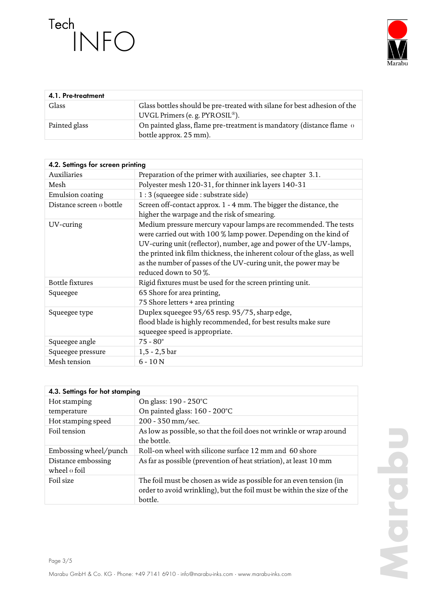

| 4.1. Pre-treatment |                                                                                                                         |
|--------------------|-------------------------------------------------------------------------------------------------------------------------|
| Glass              | Glass bottles should be pre-treated with silane for best adhesion of the<br>UVGL Primers (e. g. PYROSIL <sup>®</sup> ). |
| Painted glass      | On painted glass, flame pre-treatment is mandatory (distance flame o<br>bottle approx. 25 mm).                          |

| 4.2. Settings for screen printing |                                                                                                                                                                                                                                                                                                                                                                                    |  |
|-----------------------------------|------------------------------------------------------------------------------------------------------------------------------------------------------------------------------------------------------------------------------------------------------------------------------------------------------------------------------------------------------------------------------------|--|
| Auxiliaries                       | Preparation of the primer with auxiliaries, see chapter 3.1.                                                                                                                                                                                                                                                                                                                       |  |
| Mesh                              | Polyester mesh 120-31, for thinner ink layers 140-31                                                                                                                                                                                                                                                                                                                               |  |
| Emulsion coating                  | 1 : 3 (squeegee side : substrate side)                                                                                                                                                                                                                                                                                                                                             |  |
| Distance screen o bottle          | Screen off-contact approx. 1 - 4 mm. The bigger the distance, the<br>higher the warpage and the risk of smearing.                                                                                                                                                                                                                                                                  |  |
| UV-curing                         | Medium pressure mercury vapour lamps are recommended. The tests<br>were carried out with 100 % lamp power. Depending on the kind of<br>UV-curing unit (reflector), number, age and power of the UV-lamps,<br>the printed ink film thickness, the inherent colour of the glass, as well<br>as the number of passes of the UV-curing unit, the power may be<br>reduced down to 50 %. |  |
| Bottle fixtures                   | Rigid fixtures must be used for the screen printing unit.                                                                                                                                                                                                                                                                                                                          |  |
| Squeegee                          | 65 Shore for area printing,<br>75 Shore letters + area printing                                                                                                                                                                                                                                                                                                                    |  |
| Squeegee type                     | Duplex squeegee 95/65 resp. 95/75, sharp edge,<br>flood blade is highly recommended, for best results make sure<br>squeegee speed is appropriate.                                                                                                                                                                                                                                  |  |
| Squeegee angle                    | $75 - 80^\circ$                                                                                                                                                                                                                                                                                                                                                                    |  |
| Squeegee pressure                 | $1, 5 - 2, 5$ bar                                                                                                                                                                                                                                                                                                                                                                  |  |
| Mesh tension                      | $6 - 10N$                                                                                                                                                                                                                                                                                                                                                                          |  |

| 4.3. Settings for hot stamping            |                                                                                                                                                          |  |
|-------------------------------------------|----------------------------------------------------------------------------------------------------------------------------------------------------------|--|
| Hot stamping                              | On glass: 190 - 250°C                                                                                                                                    |  |
| temperature                               | On painted glass: 160 - 200°C                                                                                                                            |  |
| Hot stamping speed                        | 200 - 350 mm/sec.                                                                                                                                        |  |
| Foil tension                              | As low as possible, so that the foil does not wrinkle or wrap around<br>the bottle.                                                                      |  |
| Embossing wheel/punch                     | Roll-on wheel with silicone surface 12 mm and 60 shore                                                                                                   |  |
| Distance embossing<br>wheel $\sigma$ foil | As far as possible (prevention of heat striation), at least 10 mm                                                                                        |  |
| Foil size                                 | The foil must be chosen as wide as possible for an even tension (in<br>order to avoid wrinkling), but the foil must be within the size of the<br>bottle. |  |

**Marabu**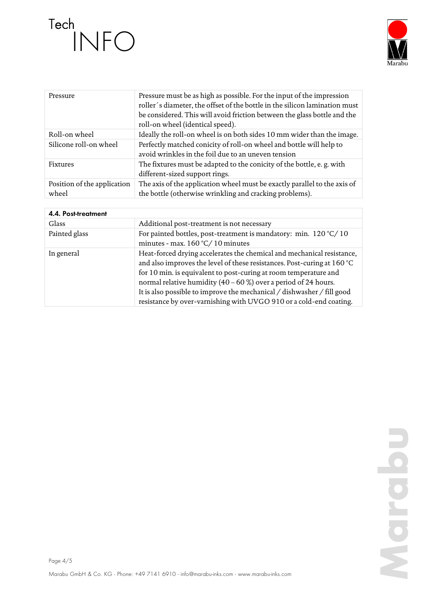

| Pressure                             | Pressure must be as high as possible. For the input of the impression<br>roller's diameter, the offset of the bottle in the silicon lamination must<br>be considered. This will avoid friction between the glass bottle and the<br>roll-on wheel (identical speed). |
|--------------------------------------|---------------------------------------------------------------------------------------------------------------------------------------------------------------------------------------------------------------------------------------------------------------------|
| Roll-on wheel                        | Ideally the roll-on wheel is on both sides 10 mm wider than the image.                                                                                                                                                                                              |
| Silicone roll-on wheel               | Perfectly matched conicity of roll-on wheel and bottle will help to<br>avoid wrinkles in the foil due to an uneven tension                                                                                                                                          |
| Fixtures                             | The fixtures must be adapted to the conicity of the bottle, e.g. with<br>different-sized support rings.                                                                                                                                                             |
| Position of the application<br>wheel | The axis of the application wheel must be exactly parallel to the axis of<br>the bottle (otherwise wrinkling and cracking problems).                                                                                                                                |

| 4.4. Post-treatment |                                                                                                                                                                                                                                                                                                                                                                                                                                            |
|---------------------|--------------------------------------------------------------------------------------------------------------------------------------------------------------------------------------------------------------------------------------------------------------------------------------------------------------------------------------------------------------------------------------------------------------------------------------------|
| Glass               | Additional post-treatment is not necessary                                                                                                                                                                                                                                                                                                                                                                                                 |
| Painted glass       | For painted bottles, post-treatment is mandatory: min. $120\degree C/10$<br>minutes - max. $160 °C / 10$ minutes                                                                                                                                                                                                                                                                                                                           |
| In general          | Heat-forced drying accelerates the chemical and mechanical resistance,<br>and also improves the level of these resistances. Post-curing at 160 °C<br>for 10 min. is equivalent to post-curing at room temperature and<br>normal relative humidity $(40 - 60\%)$ over a period of 24 hours.<br>It is also possible to improve the mechanical / dishwasher / fill good<br>resistance by over-varnishing with UVGO 910 or a cold-end coating. |